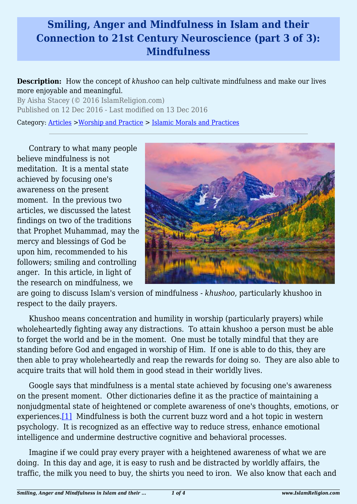## **Smiling, Anger and Mindfulness in Islam and their Connection to 21st Century Neuroscience (part 3 of 3): Mindfulness**

**Description:** How the concept of *khushoo* can help cultivate mindfulness and make our lives more enjoyable and meaningful.

By Aisha Stacey (© 2016 IslamReligion.com) Published on 12 Dec 2016 - Last modified on 13 Dec 2016

Category: [Articles](http://www.islamreligion.com/articles/) >[Worship and Practice](http://www.islamreligion.com/category/55/) > [Islamic Morals and Practices](http://www.islamreligion.com/category/58/)

Contrary to what many people believe mindfulness is not meditation. It is a mental state achieved by focusing one's awareness on the present moment. In the previous two articles, we discussed the latest findings on two of the traditions that Prophet Muhammad, may the mercy and blessings of God be upon him, recommended to his followers; smiling and controlling anger. In this article, in light of the research on mindfulness, we



are going to discuss Islam's version of mindfulness - *khushoo*, particularly khushoo in respect to the daily prayers.

Khushoo means concentration and humility in worship (particularly prayers) while wholeheartedly fighting away any distractions. To attain khushoo a person must be able to forget the world and be in the moment. One must be totally mindful that they are standing before God and engaged in worship of Him. If one is able to do this, they are then able to pray wholeheartedly and reap the rewards for doing so. They are also able to acquire traits that will hold them in good stead in their worldly lives.

<span id="page-0-0"></span>Google says that mindfulness is a mental state achieved by focusing one's awareness on the present moment. Other dictionaries define it as the practice of maintaining a nonjudgmental state of heightened or complete awareness of one's thoughts, emotions, or experiences[.\[1\]](#page-2-0) Mindfulness is both the current buzz word and a hot topic in western psychology. It is recognized as an effective way to reduce stress, enhance emotional intelligence and undermine destructive cognitive and behavioral processes.

Imagine if we could pray every prayer with a heightened awareness of what we are doing. In this day and age, it is easy to rush and be distracted by worldly affairs, the traffic, the milk you need to buy, the shirts you need to iron. We also know that each and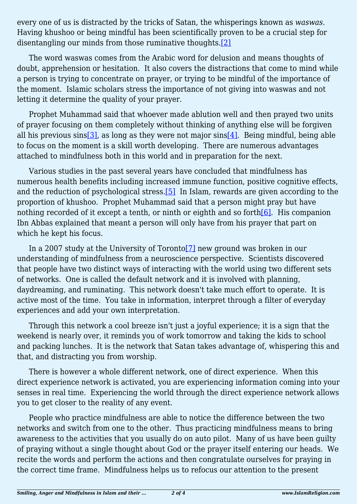every one of us is distracted by the tricks of Satan, the whisperings known as *waswas*. Having khushoo or being mindful has been scientifically proven to be a crucial step for disentangling our minds from those ruminative thoughts[.\[2\]](#page-2-1)

<span id="page-1-0"></span>The word waswas comes from the Arabic word for delusion and means thoughts of doubt, apprehension or hesitation. It also covers the distractions that come to mind while a person is trying to concentrate on prayer, or trying to be mindful of the importance of the moment. Islamic scholars stress the importance of not giving into waswas and not letting it determine the quality of your prayer.

<span id="page-1-1"></span>Prophet Muhammad said that whoever made ablution well and then prayed two units of prayer focusing on them completely without thinking of anything else will be forgiven all his previous sins<sup>[3]</sup>, as long as they were not major sins<sup>[4]</sup>. Being mindful, being able to focus on the moment is a skill worth developing. There are numerous advantages attached to mindfulness both in this world and in preparation for the next.

<span id="page-1-2"></span>Various studies in the past several years have concluded that mindfulness has numerous health benefits including increased immune function, positive cognitive effects, and the reduction of psychological stress.[\[5\]](#page-2-4) In Islam, rewards are given according to the proportion of khushoo. Prophet Muhammad said that a person might pray but have nothing recorded of it except a tenth, or ninth or eighth and so forth $[6]$ . His companion Ibn Abbas explained that meant a person will only have from his prayer that part on which he kept his focus.

<span id="page-1-4"></span><span id="page-1-3"></span>In a 2007 study at the University of Toronto<sup>[7]</sup> new ground was broken in our understanding of mindfulness from a neuroscience perspective. Scientists discovered that people have two distinct ways of interacting with the world using two different sets of networks. One is called the default network and it is involved with planning, daydreaming, and ruminating. This network doesn't take much effort to operate. It is active most of the time. You take in information, interpret through a filter of everyday experiences and add your own interpretation.

Through this network a cool breeze isn't just a joyful experience; it is a sign that the weekend is nearly over, it reminds you of work tomorrow and taking the kids to school and packing lunches. It is the network that Satan takes advantage of, whispering this and that, and distracting you from worship.

There is however a whole different network, one of direct experience. When this direct experience network is activated, you are experiencing information coming into your senses in real time. Experiencing the world through the direct experience network allows you to get closer to the reality of any event.

People who practice mindfulness are able to notice the difference between the two networks and switch from one to the other. Thus practicing mindfulness means to bring awareness to the activities that you usually do on auto pilot. Many of us have been guilty of praying without a single thought about God or the prayer itself entering our heads. We recite the words and perform the actions and then congratulate ourselves for praying in the correct time frame. Mindfulness helps us to refocus our attention to the present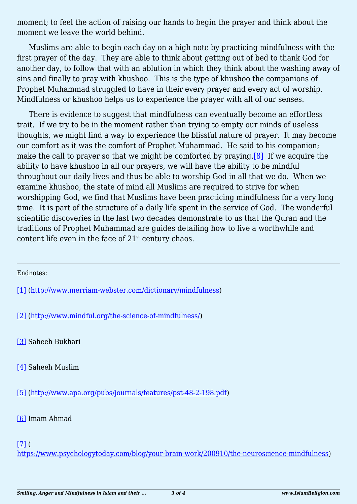moment; to feel the action of raising our hands to begin the prayer and think about the moment we leave the world behind.

Muslims are able to begin each day on a high note by practicing mindfulness with the first prayer of the day. They are able to think about getting out of bed to thank God for another day, to follow that with an ablution in which they think about the washing away of sins and finally to pray with khushoo. This is the type of khushoo the companions of Prophet Muhammad struggled to have in their every prayer and every act of worship. Mindfulness or khushoo helps us to experience the prayer with all of our senses.

<span id="page-2-8"></span>There is evidence to suggest that mindfulness can eventually become an effortless trait. If we try to be in the moment rather than trying to empty our minds of useless thoughts, we might find a way to experience the blissful nature of prayer. It may become our comfort as it was the comfort of Prophet Muhammad. He said to his companion; make the call to prayer so that we might be comforted by praying.<sup>[\[8\]](#page-2-7)</sup> If we acquire the ability to have khushoo in all our prayers, we will have the ability to be mindful throughout our daily lives and thus be able to worship God in all that we do. When we examine khushoo, the state of mind all Muslims are required to strive for when worshipping God, we find that Muslims have been practicing mindfulness for a very long time. It is part of the structure of a daily life spent in the service of God. The wonderful scientific discoveries in the last two decades demonstrate to us that the Quran and the traditions of Prophet Muhammad are guides detailing how to live a worthwhile and content life even in the face of  $21<sup>st</sup>$  century chaos.

Endnotes:

<span id="page-2-0"></span>[\[1\]](#page-0-0) [\(http://www.merriam-webster.com/dictionary/mindfulness\)](http://www.merriam-webster.com/dictionary/mindfulness)

<span id="page-2-1"></span>[\[2\]](#page-1-0) [\(http://www.mindful.org/the-science-of-mindfulness/](http://www.mindful.org/the-science-of-mindfulness/))

<span id="page-2-2"></span>[\[3\]](#page-1-1) Saheeh Bukhari

<span id="page-2-3"></span>[\[4\]](#page-1-1) Saheeh Muslim

<span id="page-2-4"></span>[\[5\]](#page-1-2) [\(http://www.apa.org/pubs/journals/features/pst-48-2-198.pdf](http://www.apa.org/pubs/journals/features/pst-48-2-198.pdf))

<span id="page-2-5"></span>[\[6\]](#page-1-3) Imam Ahmad

<span id="page-2-6"></span> $[7]$  (

<span id="page-2-7"></span><https://www.psychologytoday.com/blog/your-brain-work/200910/the-neuroscience-mindfulness>)